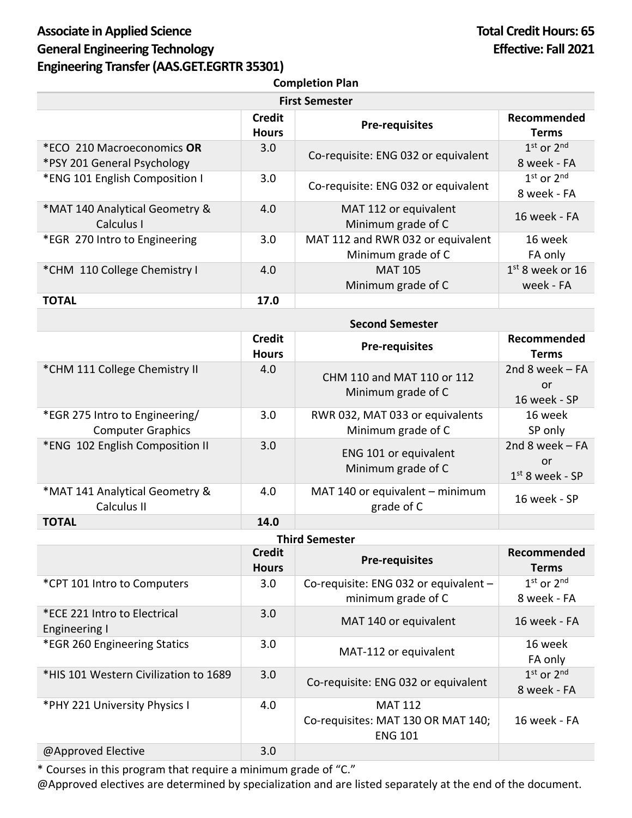## Associate in Applied Science **Total Credit Hours: 65** General Engineering Technology **Effective: Fall 2021 Engineering Transfer(AAS.GET.EGRTR 35301)**

| <b>Completion Plan</b>                                    |                               |                                                         |                                 |
|-----------------------------------------------------------|-------------------------------|---------------------------------------------------------|---------------------------------|
| <b>First Semester</b>                                     |                               |                                                         |                                 |
|                                                           | <b>Credit</b><br><b>Hours</b> | <b>Pre-requisites</b>                                   | Recommended<br><b>Terms</b>     |
| *ECO 210 Macroeconomics OR<br>*PSY 201 General Psychology | 3.0                           | Co-requisite: ENG 032 or equivalent                     | $1st$ or $2nd$<br>8 week - FA   |
| *ENG 101 English Composition I                            | 3.0                           | Co-requisite: ENG 032 or equivalent                     | $1st$ or $2nd$<br>8 week - FA   |
| *MAT 140 Analytical Geometry &<br>Calculus I              | 4.0                           | MAT 112 or equivalent<br>Minimum grade of C             | 16 week - FA                    |
| *EGR 270 Intro to Engineering                             | 3.0                           | MAT 112 and RWR 032 or equivalent<br>Minimum grade of C | 16 week<br>FA only              |
| *CHM 110 College Chemistry I                              | 4.0                           | <b>MAT 105</b><br>Minimum grade of C                    | $1st$ 8 week or 16<br>week - FA |
| <b>TOTAL</b>                                              | 17.0                          |                                                         |                                 |

|                                                            | <b>Second Semester</b>        |                                                       |                                             |
|------------------------------------------------------------|-------------------------------|-------------------------------------------------------|---------------------------------------------|
|                                                            | <b>Credit</b><br><b>Hours</b> | <b>Pre-requisites</b>                                 | Recommended<br><b>Terms</b>                 |
| *CHM 111 College Chemistry II                              | 4.0                           | CHM 110 and MAT 110 or 112<br>Minimum grade of C      | 2nd 8 week $-FA$<br>or<br>16 week - SP      |
| *EGR 275 Intro to Engineering/<br><b>Computer Graphics</b> | 3.0                           | RWR 032, MAT 033 or equivalents<br>Minimum grade of C | 16 week<br>SP only                          |
| *ENG 102 English Composition II                            | 3.0                           | ENG 101 or equivalent<br>Minimum grade of C           | 2nd 8 week $-FA$<br>or<br>$1st$ 8 week - SP |
| *MAT 141 Analytical Geometry &<br>Calculus II              | 4.0                           | MAT 140 or equivalent $-$ minimum<br>grade of C       | 16 week - SP                                |
| <b>TOTAL</b>                                               | 14.0                          |                                                       |                                             |

| <b>Third Semester</b>                         |                               |                                                                        |                               |  |
|-----------------------------------------------|-------------------------------|------------------------------------------------------------------------|-------------------------------|--|
|                                               | <b>Credit</b><br><b>Hours</b> | <b>Pre-requisites</b>                                                  | Recommended<br>Terms          |  |
| *CPT 101 Intro to Computers                   | 3.0                           | Co-requisite: ENG 032 or equivalent -<br>minimum grade of C            | $1st$ or $2nd$<br>8 week - FA |  |
| *ECE 221 Intro to Electrical<br>Engineering I | 3.0                           | MAT 140 or equivalent                                                  | 16 week - FA                  |  |
| *EGR 260 Engineering Statics                  | 3.0                           | MAT-112 or equivalent                                                  | 16 week<br>FA only            |  |
| *HIS 101 Western Civilization to 1689         | 3.0                           | Co-requisite: ENG 032 or equivalent                                    | $1st$ or $2nd$<br>8 week - FA |  |
| *PHY 221 University Physics I                 | 4.0                           | <b>MAT 112</b><br>Co-requisites: MAT 130 OR MAT 140;<br><b>ENG 101</b> | 16 week - FA                  |  |
| @Approved Elective                            | 3.0                           |                                                                        |                               |  |

\* Courses in this program that require a minimum grade of "C."

@Approved electives are determined by specialization and are listed separately at the end of the document.